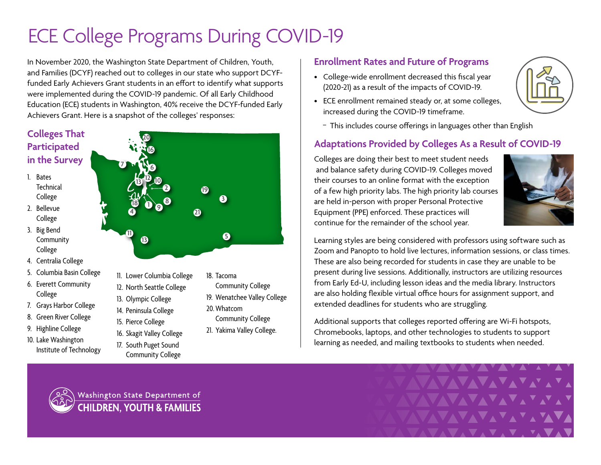# ECE College Programs During COVID-19

In November 2020, the Washington State Department of Children, Youth, and Families (DCYF) reached out to colleges in our state who support DCYFfunded Early Achievers Grant students in an effort to identify what supports were implemented during the COVID-19 pandemic. Of all Early Childhood Education (ECE) students in Washington, 40% receive the DCYF-funded Early Achievers Grant. Here is a snapshot of the colleges' responses:

### **Colleges That Participated in the Survey**

- 1. Bates **Technical** College
- 2. Bellevue College
- 3. Big Bend **Community** College
- 4. Centralia College
- 5. Columbia Basin College
- 6. Everett Community College
- 7. Grays Harbor College
- 8. Green River College
- 9. Highline College
- 10. Lake Washington Institute of Technology



- 12. North Seattle College
- 13. Olympic College
- 14. Peninsula College
- 15. Pierce College
- 16. Skagit Valley College
- 17. South Puget Sound Community College
- Community College
- 19. Wenatchee Valley College
- 20.Whatcom
- Community College
- 21. Yakima Valley College.

#### **Enrollment Rates and Future of Programs**

- College-wide enrollment decreased this fiscal year (2020-21) as a result of the impacts of COVID-19.
- ECE enrollment remained steady or, at some colleges, increased during the COVID-19 timeframe.



- This includes course offerings in languages other than English

## **Adaptations Provided by Colleges As a Result of COVID-19**

Colleges are doing their best to meet student needs and balance safety during COVID-19. Colleges moved their courses to an online format with the exception of a few high priority labs. The high priority lab courses are held in-person with proper Personal Protective Equipment (PPE) enforced. These practices will continue for the remainder of the school year.



Learning styles are being considered with professors using software such as Zoom and Panopto to hold live lectures, information sessions, or class times. These are also being recorded for students in case they are unable to be present during live sessions. Additionally, instructors are utilizing resources from Early Ed-U, including lesson ideas and the media library. Instructors are also holding flexible virtual office hours for assignment support, and extended deadlines for students who are struggling.

Additional supports that colleges reported offering are Wi-Fi hotspots, Chromebooks, laptops, and other technologies to students to support learning as needed, and mailing textbooks to students when needed.



Washington State Department of **CHILDREN, YOUTH & FAMILIES**